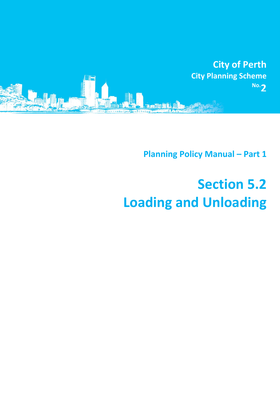

**Planning Policy Manual - Part 1** 

## **Section 5.2 Loading and Unloading**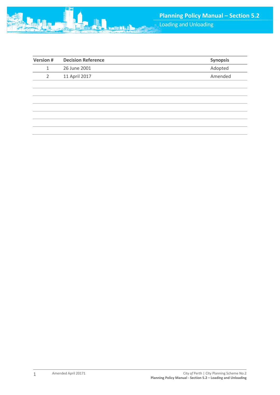

| <b>Version#</b> | <b>Decision Reference</b> | <b>Synopsis</b> |
|-----------------|---------------------------|-----------------|
| 1               | 26 June 2001              | Adopted         |
| 2               | 11 April 2017             | Amended         |
|                 |                           |                 |
|                 |                           |                 |
|                 |                           |                 |
|                 |                           |                 |
|                 |                           |                 |
|                 |                           |                 |
|                 |                           |                 |